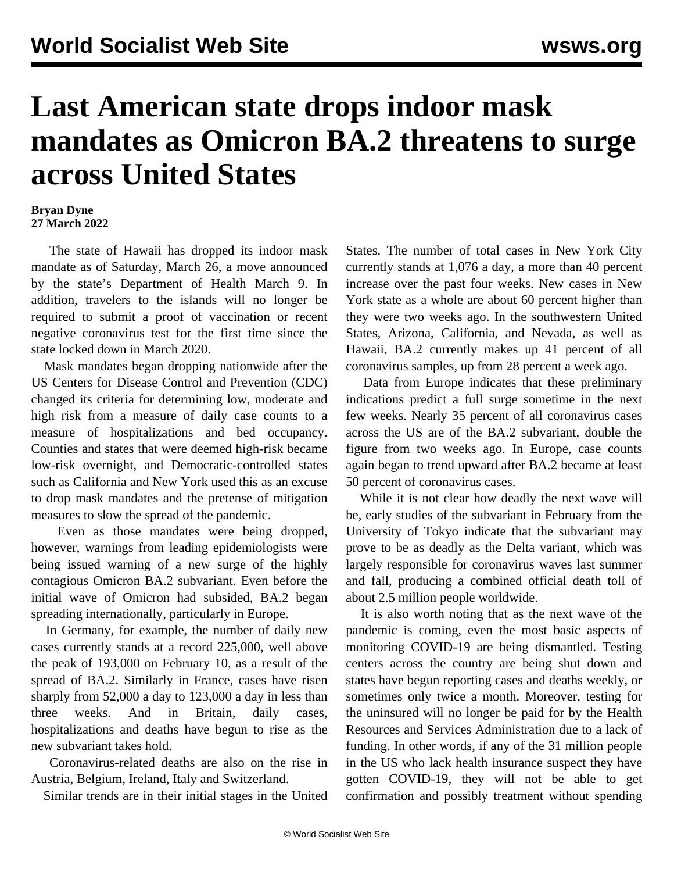## **Last American state drops indoor mask mandates as Omicron BA.2 threatens to surge across United States**

## **Bryan Dyne 27 March 2022**

 The state of Hawaii has dropped its indoor mask mandate as of Saturday, March 26, a move announced by the state's Department of Health March 9. In addition, travelers to the islands will no longer be required to submit a proof of vaccination or recent negative coronavirus test for the first time since the state locked down in March 2020.

 Mask mandates began dropping nationwide after the US Centers for Disease Control and Prevention (CDC) changed its criteria for determining low, moderate and high risk from a measure of daily case counts to a measure of hospitalizations and bed occupancy. Counties and states that were deemed high-risk became low-risk overnight, and Democratic-controlled states such as California and New York used this as an excuse to drop mask mandates and the pretense of mitigation measures to slow the spread of the pandemic.

 Even as those mandates were being dropped, however, warnings from leading epidemiologists were being issued warning of a new surge of the highly contagious Omicron BA.2 subvariant. Even before the initial wave of Omicron had subsided, BA.2 began spreading internationally, particularly in Europe.

 In Germany, for example, the number of daily new cases currently stands at a record 225,000, well above the peak of 193,000 on February 10, as a result of the spread of BA.2. Similarly in France, cases have risen sharply from 52,000 a day to 123,000 a day in less than three weeks. And in Britain, daily cases, hospitalizations and deaths have begun to rise as the new subvariant takes hold.

 Coronavirus-related deaths are also on the rise in Austria, Belgium, Ireland, Italy and Switzerland.

Similar trends are in their initial stages in the United

States. The number of total cases in New York City currently stands at 1,076 a day, a more than 40 percent increase over the past four weeks. New cases in New York state as a whole are about 60 percent higher than they were two weeks ago. In the southwestern United States, Arizona, California, and Nevada, as well as Hawaii, BA.2 currently makes up 41 percent of all coronavirus samples, up from 28 percent a week ago.

 Data from Europe indicates that these preliminary indications predict a full surge sometime in the next few weeks. Nearly 35 percent of all coronavirus cases across the US are of the BA.2 subvariant, double the figure from two weeks ago. In Europe, case counts again began to trend upward after BA.2 became at least 50 percent of coronavirus cases.

 While it is not clear how deadly the next wave will be, early studies of the subvariant in February from the University of Tokyo indicate that the subvariant may prove to be as deadly as the Delta variant, which was largely responsible for coronavirus waves last summer and fall, producing a combined official death toll of about 2.5 million people worldwide.

 It is also worth noting that as the next wave of the pandemic is coming, even the most basic aspects of monitoring COVID-19 are being dismantled. Testing centers across the country are being shut down and states have begun reporting cases and deaths weekly, or sometimes only twice a month. Moreover, testing for the uninsured will no longer be paid for by the Health Resources and Services Administration due to a lack of funding. In other words, if any of the 31 million people in the US who lack health insurance suspect they have gotten COVID-19, they will not be able to get confirmation and possibly treatment without spending